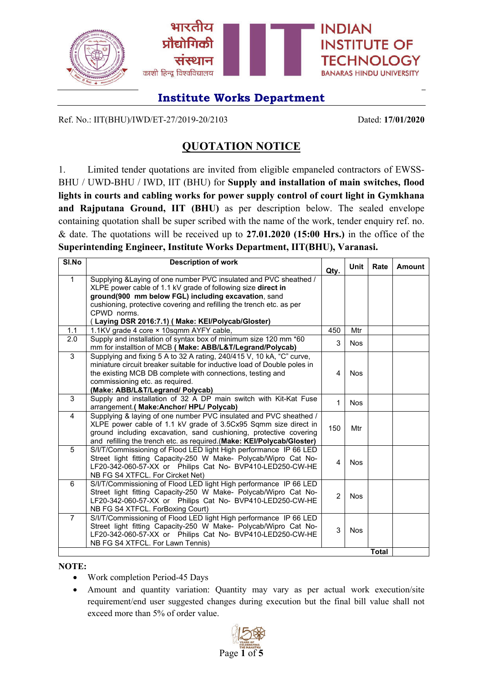

Ref. No.: IIT(BHU)/IWD/ET-27/2019-20/2103 Dated: **17/01/2020**

## **QUOTATION NOTICE**

1. Limited tender quotations are invited from eligible empaneled contractors of EWSS-BHU / UWD-BHU / IWD, IIT (BHU) for **Supply and installation of main switches, flood lights in courts and cabling works for power supply control of court light in Gymkhana and Rajputana Ground, IIT (BHU)** as per description below. The sealed envelope containing quotation shall be super scribed with the name of the work, tender enquiry ref. no. & date. The quotations will be received up to **27.01.2020 (15:00 Hrs.)** in the office of the **Superintending Engineer, Institute Works Department, IIT(BHU), Varanasi.**

| SI.No          | <b>Description of work</b>                                                                           | Qty.           | <b>Unit</b> | Rate         | Amount |
|----------------|------------------------------------------------------------------------------------------------------|----------------|-------------|--------------|--------|
| $\mathbf{1}$   | Supplying & Laying of one number PVC insulated and PVC sheathed /                                    |                |             |              |        |
|                | XLPE power cable of 1.1 kV grade of following size direct in                                         |                |             |              |        |
|                | ground(900 mm below FGL) including excavation, sand                                                  |                |             |              |        |
|                | cushioning, protective covering and refilling the trench etc. as per                                 |                |             |              |        |
|                | CPWD norms.                                                                                          |                |             |              |        |
|                | (Laying DSR 2016:7.1) (Make: KEI/Polycab/Gloster)                                                    |                |             |              |        |
| 1.1            | 1.1KV grade 4 core × 10sqmm AYFY cable,                                                              | 450            | Mtr         |              |        |
| 2.0            | Supply and installation of syntax box of minimum size 120 mm *60                                     | 3              | <b>Nos</b>  |              |        |
|                | mm for installtion of MCB (Make: ABB/L&T/Legrand/Polycab)                                            |                |             |              |        |
| 3              | Supplying and fixing 5 A to 32 A rating, 240/415 V, 10 kA, "C" curve,                                |                |             |              |        |
|                | miniature circuit breaker suitable for inductive load of Double poles in                             |                |             |              |        |
|                | the existing MCB DB complete with connections, testing and                                           | 4              | <b>Nos</b>  |              |        |
|                | commissioning etc. as required.                                                                      |                |             |              |        |
| 3              | (Make: ABB/L&T/Legrand/ Polycab)<br>Supply and installation of 32 A DP main switch with Kit-Kat Fuse |                |             |              |        |
|                | arrangement.( Make: Anchor/ HPL/ Polycab)                                                            | $\mathbf{1}$   | <b>Nos</b>  |              |        |
| $\overline{4}$ | Supplying & laying of one number PVC insulated and PVC sheathed /                                    |                |             |              |        |
|                | XLPE power cable of 1.1 kV grade of 3.5Cx95 Sqmm size direct in                                      |                |             |              |        |
|                | ground including excavation, sand cushioning, protective covering                                    | 150            | Mtr         |              |        |
|                | and refilling the trench etc. as required.(Make: KEI/Polycab/Gloster)                                |                |             |              |        |
| 5              | S/I/T/Commissioning of Flood LED light High performance IP 66 LED                                    |                |             |              |        |
|                | Street light fitting Capacity-250 W Make- Polycab/Wipro Cat No-                                      |                |             |              |        |
|                | LF20-342-060-57-XX or Philips Cat No- BVP410-LED250-CW-HE                                            | $\overline{4}$ | <b>Nos</b>  |              |        |
|                | NB FG S4 XTFCL. For Circket Net)                                                                     |                |             |              |        |
| 6              | S/I/T/Commissioning of Flood LED light High performance IP 66 LED                                    |                |             |              |        |
|                | Street light fitting Capacity-250 W Make- Polycab/Wipro Cat No-                                      | $\overline{2}$ | <b>Nos</b>  |              |        |
|                | LF20-342-060-57-XX or Philips Cat No- BVP410-LED250-CW-HE                                            |                |             |              |        |
|                | NB FG S4 XTFCL. ForBoxing Court)                                                                     |                |             |              |        |
| 7              | S/I/T/Commissioning of Flood LED light High performance IP 66 LED                                    |                |             |              |        |
|                | Street light fitting Capacity-250 W Make- Polycab/Wipro Cat No-                                      | 3              | <b>Nos</b>  |              |        |
|                | LF20-342-060-57-XX or Philips Cat No- BVP410-LED250-CW-HE                                            |                |             |              |        |
|                | NB FG S4 XTFCL. For Lawn Tennis)                                                                     |                |             |              |        |
|                |                                                                                                      |                |             | <b>Total</b> |        |

#### **NOTE:**

- Work completion Period-45 Days
- Amount and quantity variation: Quantity may vary as per actual work execution/site requirement/end user suggested changes during execution but the final bill value shall not exceed more than 5% of order value.

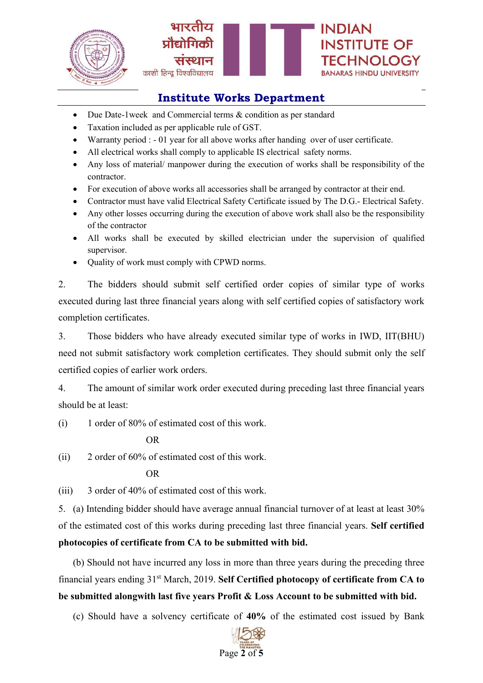



- Due Date-1week and Commercial terms & condition as per standard
- Taxation included as per applicable rule of GST.
- Warranty period : 01 year for all above works after handing over of user certificate.
- All electrical works shall comply to applicable IS electrical safety norms.
- Any loss of material/ manpower during the execution of works shall be responsibility of the contractor.
- For execution of above works all accessories shall be arranged by contractor at their end.
- Contractor must have valid Electrical Safety Certificate issued by The D.G.- Electrical Safety.
- Any other losses occurring during the execution of above work shall also be the responsibility of the contractor
- All works shall be executed by skilled electrician under the supervision of qualified supervisor.
- Quality of work must comply with CPWD norms.

2. The bidders should submit self certified order copies of similar type of works executed during last three financial years along with self certified copies of satisfactory work completion certificates.

3. Those bidders who have already executed similar type of works in IWD, IIT(BHU) need not submit satisfactory work completion certificates. They should submit only the self certified copies of earlier work orders.

4. The amount of similar work order executed during preceding last three financial years should be at least:

(i) 1 order of 80% of estimated cost of this work.

OR

(ii) 2 order of 60% of estimated cost of this work.

OR

(iii) 3 order of 40% of estimated cost of this work.

5. (a) Intending bidder should have average annual financial turnover of at least at least 30% of the estimated cost of this works during preceding last three financial years. **Self certified photocopies of certificate from CA to be submitted with bid.**

(b) Should not have incurred any loss in more than three years during the preceding three financial years ending 31st March, 2019. **Self Certified photocopy of certificate from CA to be submitted alongwith last five years Profit & Loss Account to be submitted with bid.**

(c) Should have a solvency certificate of **40%** of the estimated cost issued by Bank

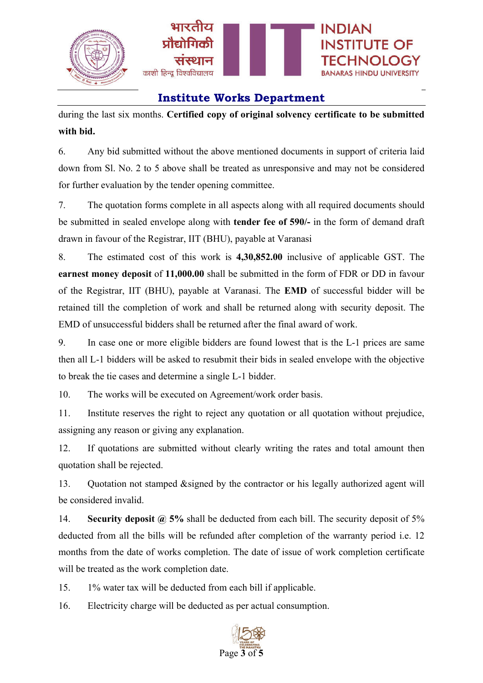

during the last six months. **Certified copy of original solvency certificate to be submitted with bid.**

6. Any bid submitted without the above mentioned documents in support of criteria laid down from Sl. No. 2 to 5 above shall be treated as unresponsive and may not be considered for further evaluation by the tender opening committee.

7. The quotation forms complete in all aspects along with all required documents should be submitted in sealed envelope along with **tender fee of 590/-** in the form of demand draft drawn in favour of the Registrar, IIT (BHU), payable at Varanasi

8. The estimated cost of this work is **4,30,852.00** inclusive of applicable GST. The **earnest money deposit** of **11,000.00** shall be submitted in the form of FDR or DD in favour of the Registrar, IIT (BHU), payable at Varanasi. The **EMD** of successful bidder will be retained till the completion of work and shall be returned along with security deposit. The EMD of unsuccessful bidders shall be returned after the final award of work.

9. In case one or more eligible bidders are found lowest that is the L-1 prices are same then all L-1 bidders will be asked to resubmit their bids in sealed envelope with the objective to break the tie cases and determine a single L-1 bidder.

10. The works will be executed on Agreement/work order basis.

11. Institute reserves the right to reject any quotation or all quotation without prejudice, assigning any reason or giving any explanation.

12. If quotations are submitted without clearly writing the rates and total amount then quotation shall be rejected.

13. Quotation not stamped &signed by the contractor or his legally authorized agent will be considered invalid.

14. **Security deposit @ 5%** shall be deducted from each bill. The security deposit of 5% deducted from all the bills will be refunded after completion of the warranty period i.e. 12 months from the date of works completion. The date of issue of work completion certificate will be treated as the work completion date.

15. 1% water tax will be deducted from each bill if applicable.

16. Electricity charge will be deducted as per actual consumption.

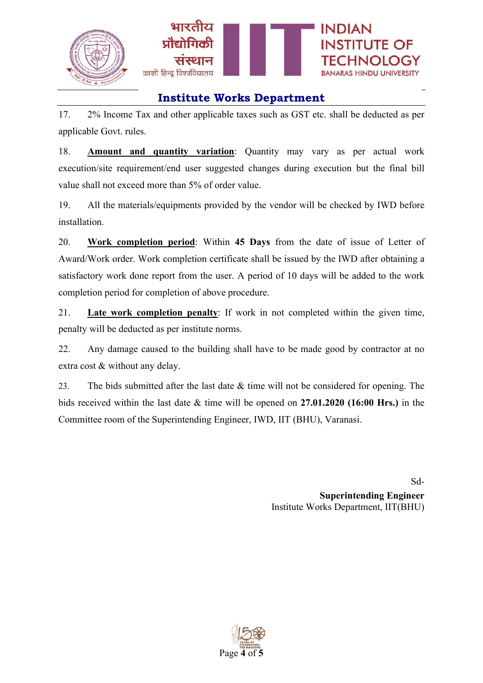

17. 2% Income Tax and other applicable taxes such as GST etc. shall be deducted as per applicable Govt. rules.

18. **Amount and quantity variation**: Quantity may vary as per actual work execution/site requirement/end user suggested changes during execution but the final bill value shall not exceed more than 5% of order value.

19. All the materials/equipments provided by the vendor will be checked by IWD before installation.

20. **Work completion period**: Within **45 Days** from the date of issue of Letter of Award/Work order. Work completion certificate shall be issued by the IWD after obtaining a satisfactory work done report from the user. A period of 10 days will be added to the work completion period for completion of above procedure.

21. **Late work completion penalty**: If work in not completed within the given time, penalty will be deducted as per institute norms.

22. Any damage caused to the building shall have to be made good by contractor at no extra cost & without any delay.

23. The bids submitted after the last date & time will not be considered for opening. The bids received within the last date & time will be opened on **27.01.2020 (16:00 Hrs.)** in the Committee room of the Superintending Engineer, IWD, IIT (BHU), Varanasi.

> Sd-**Superintending Engineer** Institute Works Department, IIT(BHU)